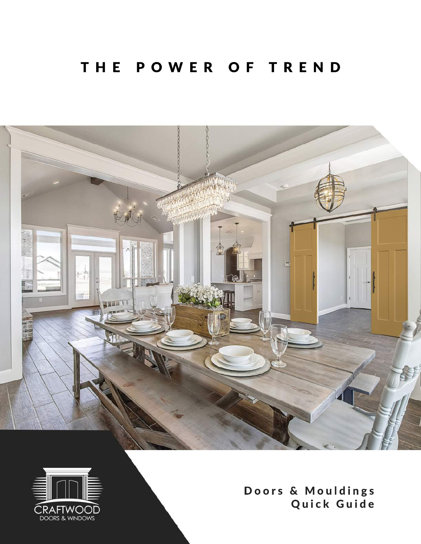#### THE POWER OF TREND





Doors& Mouldings Quick Guide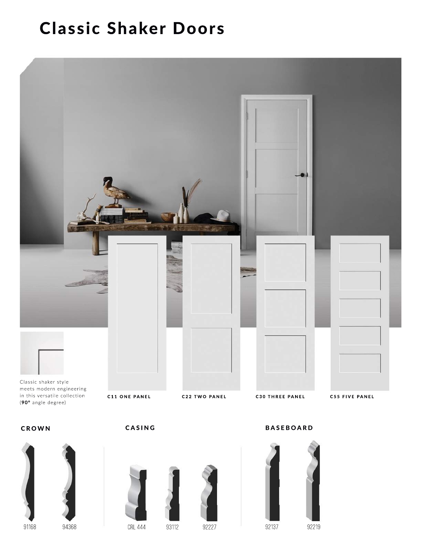# **Classic Shaker Doors**











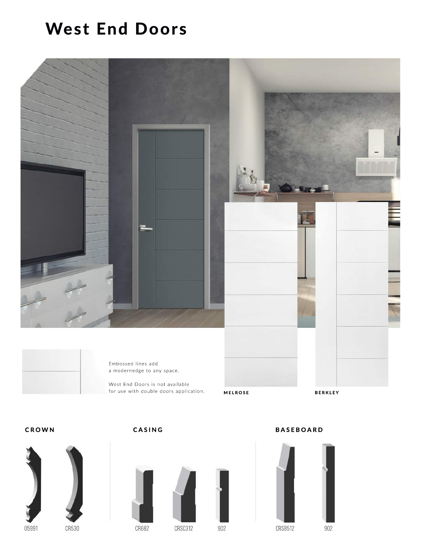### West End Doors



a modernedge to any space.

West End Doors is not available for use with double doors application.

MELROSE BERKLEY







CROWN CASING BASEBOARD

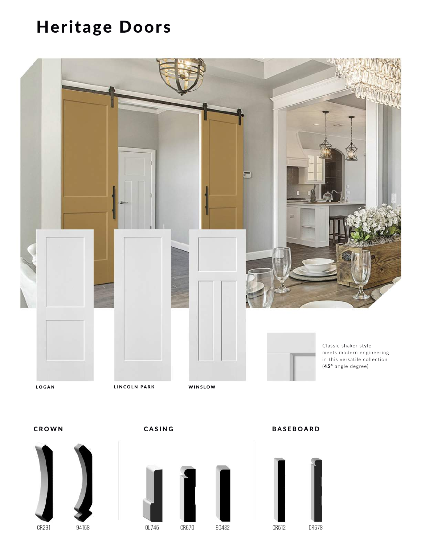# Heritage Doors







CROWN CASING BASEBOARD